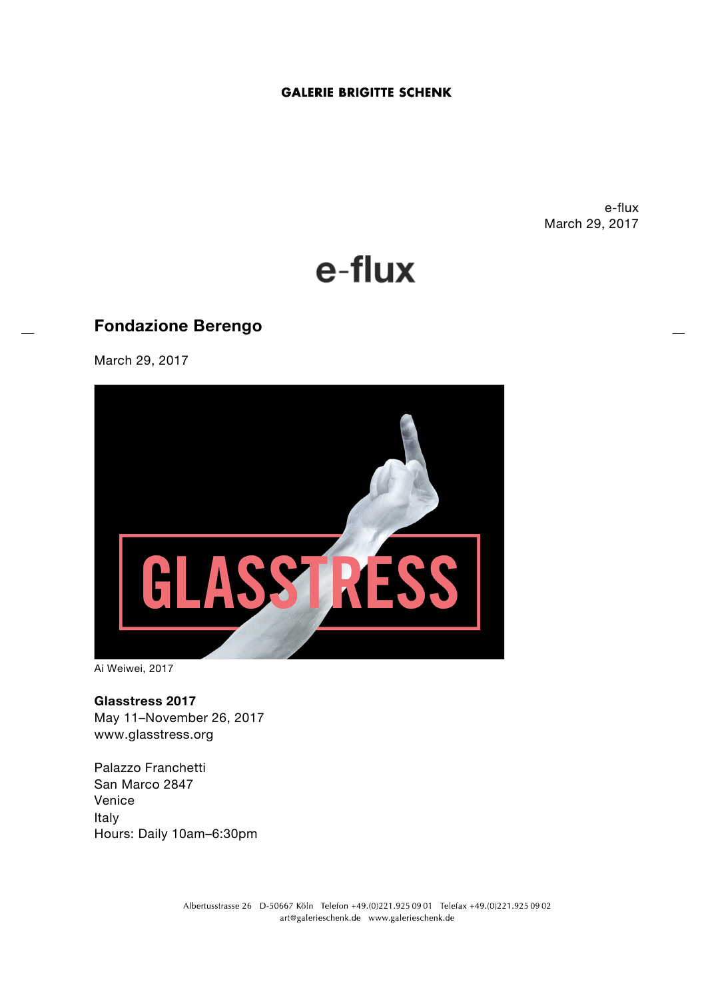# **GALERIE BRIGITTE SCHENK**

e-flux March 29, 2017



# **Fondazione Berengo**

March 29, 2017



Ai Weiwei, 2017

**Glasstress 2017** May 11–November 26, 2017 www.glasstress.org

Palazzo Franchetti San Marco 2847 Venice Italy Hours: Daily 10am–6:30pm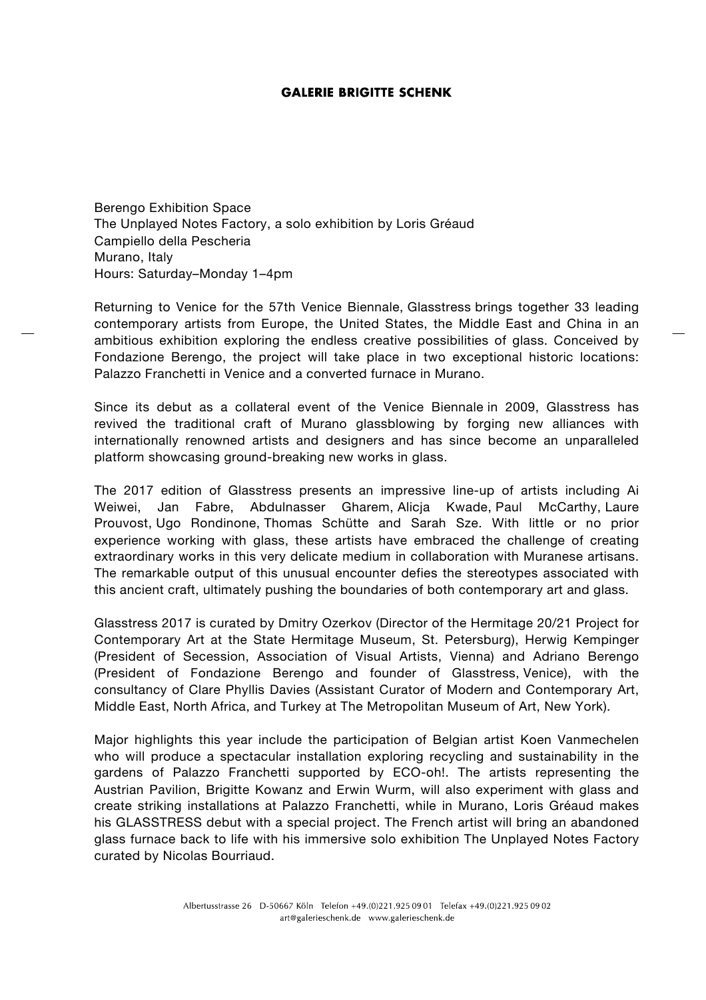# **GALERIE BRIGITTE SCHENK**

Berengo Exhibition Space The Unplayed Notes Factory, a solo exhibition by Loris Gréaud Campiello della Pescheria Murano, Italy Hours: Saturday–Monday 1–4pm

Returning to Venice for the 57th Venice Biennale, Glasstress brings together 33 leading contemporary artists from Europe, the United States, the Middle East and China in an ambitious exhibition exploring the endless creative possibilities of glass. Conceived by Fondazione Berengo, the project will take place in two exceptional historic locations: Palazzo Franchetti in Venice and a converted furnace in Murano.

Since its debut as a collateral event of the Venice Biennale in 2009, Glasstress has revived the traditional craft of Murano glassblowing by forging new alliances with internationally renowned artists and designers and has since become an unparalleled platform showcasing ground-breaking new works in glass.

The 2017 edition of Glasstress presents an impressive line-up of artists including Ai Weiwei, Jan Fabre, Abdulnasser Gharem, Alicja Kwade, Paul McCarthy, Laure Prouvost, Ugo Rondinone, Thomas Schütte and Sarah Sze. With little or no prior experience working with glass, these artists have embraced the challenge of creating extraordinary works in this very delicate medium in collaboration with Muranese artisans. The remarkable output of this unusual encounter defies the stereotypes associated with this ancient craft, ultimately pushing the boundaries of both contemporary art and glass.

Glasstress 2017 is curated by Dmitry Ozerkov (Director of the Hermitage 20/21 Project for Contemporary Art at the State Hermitage Museum, St. Petersburg), Herwig Kempinger (President of Secession, Association of Visual Artists, Vienna) and Adriano Berengo (President of Fondazione Berengo and founder of Glasstress, Venice), with the consultancy of Clare Phyllis Davies (Assistant Curator of Modern and Contemporary Art, Middle East, North Africa, and Turkey at The Metropolitan Museum of Art, New York).

Major highlights this year include the participation of Belgian artist Koen Vanmechelen who will produce a spectacular installation exploring recycling and sustainability in the gardens of Palazzo Franchetti supported by ECO-oh!. The artists representing the Austrian Pavilion, Brigitte Kowanz and Erwin Wurm, will also experiment with glass and create striking installations at Palazzo Franchetti, while in Murano, Loris Gréaud makes his GLASSTRESS debut with a special project. The French artist will bring an abandoned glass furnace back to life with his immersive solo exhibition The Unplayed Notes Factory curated by Nicolas Bourriaud.